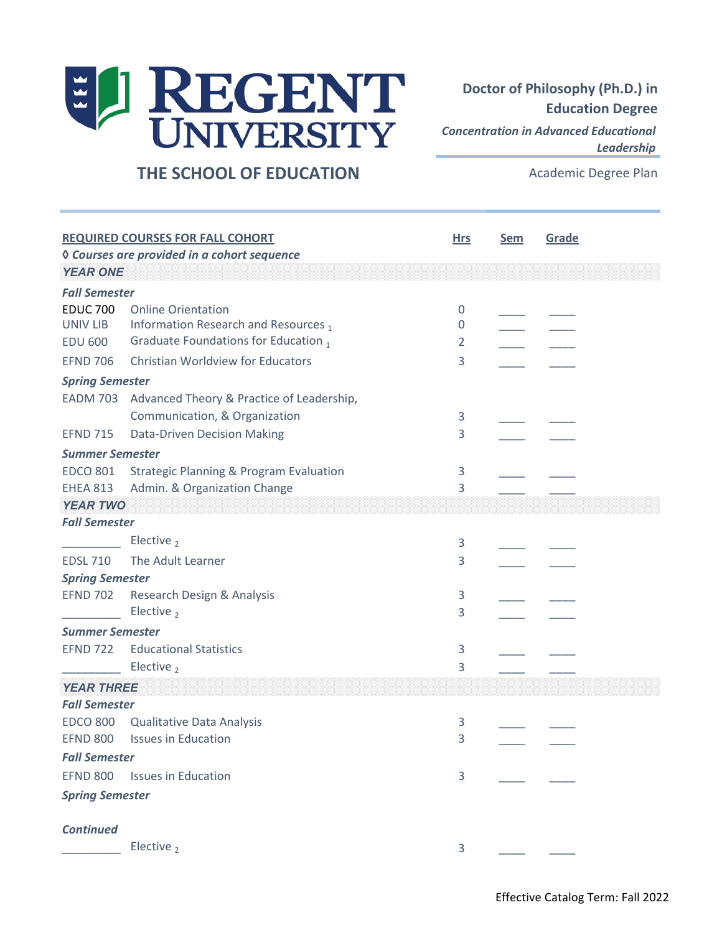# ELI REGENT

*Concentration in Advanced Educational Leadership* 

# **THE SCHOOL OF EDUCATION**

Academic Degree Plan

| <b>REQUIRED COURSES FOR FALL COHORT</b>                          |                                                    | <b>Hrs</b>       | <b>Sem</b> | Grade |  |  |
|------------------------------------------------------------------|----------------------------------------------------|------------------|------------|-------|--|--|
| <b><i><u>O</u></i></b> Courses are provided in a cohort sequence |                                                    |                  |            |       |  |  |
| <b>YEAR ONE</b>                                                  |                                                    |                  |            |       |  |  |
| <b>Fall Semester</b>                                             |                                                    |                  |            |       |  |  |
| <b>EDUC 700</b>                                                  | <b>Online Orientation</b>                          | 0                |            |       |  |  |
| UNIV LIB                                                         | Information Research and Resources 1               | $\boldsymbol{0}$ |            |       |  |  |
| <b>EDU 600</b>                                                   | Graduate Foundations for Education 1               | 2                |            |       |  |  |
| <b>EFND 706</b>                                                  | Christian Worldview for Educators                  | 3                |            |       |  |  |
| <b>Spring Semester</b>                                           |                                                    |                  |            |       |  |  |
|                                                                  | EADM 703 Advanced Theory & Practice of Leadership, |                  |            |       |  |  |
|                                                                  | Communication, & Organization                      | 3                |            |       |  |  |
| <b>EFND 715</b>                                                  | <b>Data-Driven Decision Making</b>                 | 3                |            |       |  |  |
| <b>Summer Semester</b>                                           |                                                    |                  |            |       |  |  |
| <b>EDCO 801</b>                                                  | <b>Strategic Planning &amp; Program Evaluation</b> | 3                |            |       |  |  |
| <b>EHEA 813</b>                                                  | Admin. & Organization Change                       | 3                |            |       |  |  |
| <b>YEAR TWO</b>                                                  |                                                    |                  |            |       |  |  |
| <b>Fall Semester</b>                                             |                                                    |                  |            |       |  |  |
|                                                                  | Elective $2$                                       | 3                |            |       |  |  |
| <b>EDSL 710</b>                                                  | The Adult Learner                                  | 3                |            |       |  |  |
| <b>Spring Semester</b>                                           |                                                    |                  |            |       |  |  |
| <b>EFND 702</b>                                                  | Research Design & Analysis                         | 3                |            |       |  |  |
|                                                                  | Elective,                                          | 3                |            |       |  |  |
| <b>Summer Semester</b>                                           |                                                    |                  |            |       |  |  |
| <b>EFND 722</b>                                                  | <b>Educational Statistics</b>                      | 3                |            |       |  |  |
|                                                                  | Elective $2$                                       | 3                |            |       |  |  |
| <b>YEAR THREE</b>                                                |                                                    |                  |            |       |  |  |
| <b>Fall Semester</b>                                             |                                                    |                  |            |       |  |  |
| <b>EDCO 800</b>                                                  | Qualitative Data Analysis                          | 3                |            |       |  |  |
| <b>EFND 800</b>                                                  | <b>Issues in Education</b>                         | 3                |            |       |  |  |
| <b>Fall Semester</b>                                             |                                                    |                  |            |       |  |  |
| <b>EFND 800</b>                                                  | <b>Issues in Education</b>                         | 3                |            |       |  |  |
| <b>Spring Semester</b>                                           |                                                    |                  |            |       |  |  |
|                                                                  |                                                    |                  |            |       |  |  |
| <b>Continued</b>                                                 |                                                    |                  |            |       |  |  |
|                                                                  | Elective $_2$                                      | 3                |            |       |  |  |